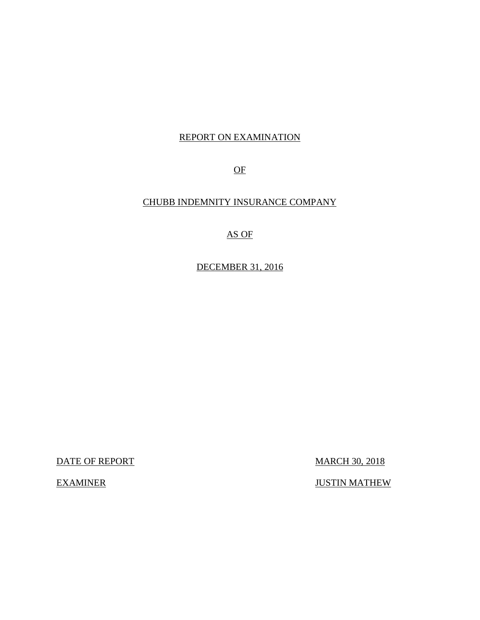### REPORT ON EXAMINATION

OF

### CHUBB INDEMNITY INSURANCE COMPANY

AS OF

DECEMBER 31, 2016

DATE OF REPORT MARCH 30, 2018

EXAMINER JUSTIN MATHEW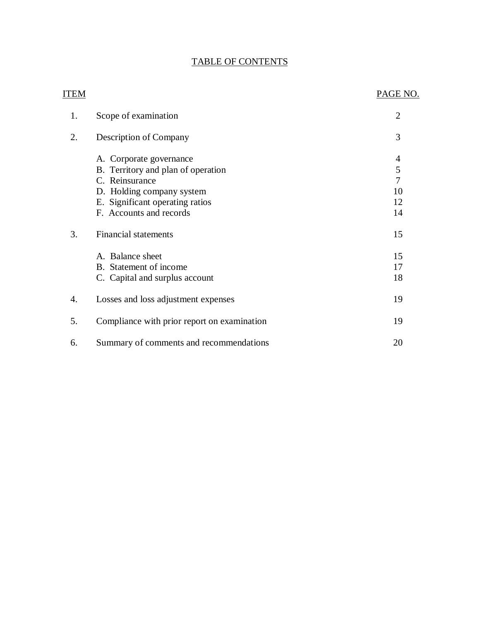### TABLE OF CONTENTS

| ITEM |                                                                                                                                                                            | PAGE NO.                                   |
|------|----------------------------------------------------------------------------------------------------------------------------------------------------------------------------|--------------------------------------------|
| 1.   | Scope of examination                                                                                                                                                       | $\overline{2}$                             |
| 2.   | Description of Company                                                                                                                                                     | 3                                          |
|      | A. Corporate governance<br>B. Territory and plan of operation<br>C. Reinsurance<br>D. Holding company system<br>E. Significant operating ratios<br>F. Accounts and records | 4<br>5<br>$\overline{7}$<br>10<br>12<br>14 |
| 3.   | <b>Financial statements</b><br>A. Balance sheet<br>B. Statement of income<br>C. Capital and surplus account                                                                | 15<br>15<br>17<br>18                       |
| 4.   | Losses and loss adjustment expenses                                                                                                                                        | 19                                         |
| 5.   | Compliance with prior report on examination                                                                                                                                | 19                                         |
| 6.   | Summary of comments and recommendations                                                                                                                                    | 20                                         |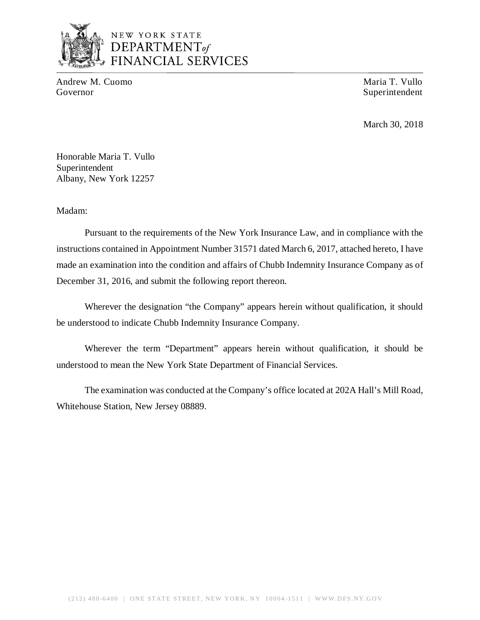

## NEW YORK STATE *DEPARTMENTof*  FINANCIAL SERVICES

Andrew M. Cuomo **Maria T. Vullo** Maria T. Vullo Governor Superintendent

March 30, 2018

Honorable Maria T. Vullo Superintendent Albany, New York 12257

Madam:

Pursuant to the requirements of the New York Insurance Law, and in compliance with the instructions contained in Appointment Number 31571 dated March 6, 2017, attached hereto, I have made an examination into the condition and affairs of Chubb Indemnity Insurance Company as of December 31, 2016, and submit the following report thereon.

Wherever the designation "the Company" appears herein without qualification, it should be understood to indicate Chubb Indemnity Insurance Company.

Wherever the term "Department" appears herein without qualification, it should be understood to mean the New York State Department of Financial Services.

The examination was conducted at the Company's office located at 202A Hall's Mill Road, Whitehouse Station, New Jersey 08889.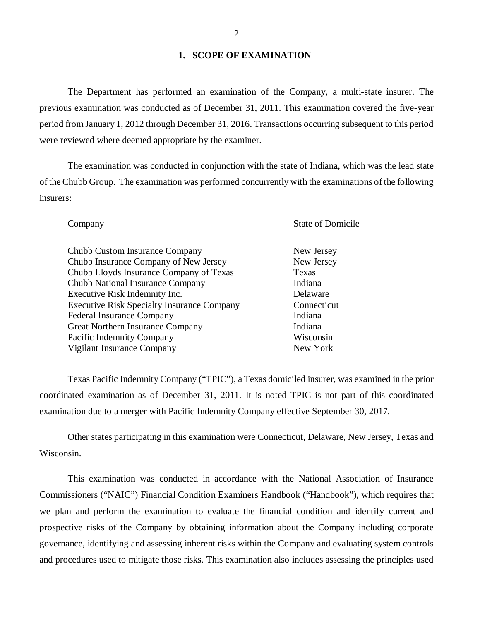### 1. **SCOPE OF EXAMINATION**

The Department has performed an examination of the Company*,* a multi-state insurer. The previous examination was conducted as of December 31, 2011. This examination covered the five-year period from January 1, 2012 through December 31, 2016. Transactions occurring subsequent to this period were reviewed where deemed appropriate by the examiner.

The examination was conducted in conjunction with the state of Indiana, which was the lead state of the Chubb Group. The examination was performed concurrently with the examinations of the following insurers:

### **Company** State of Domicile

### Chubb Custom Insurance Company New Jersey Chubb Insurance Company of New Jersey New Jersey Chubb Lloyds Insurance Company of Texas Texas Chubb National Insurance Company Indiana Executive Risk Indemnity Inc. Delaware Executive Risk Specialty Insurance Company Connecticut Federal Insurance Company Indiana Great Northern Insurance Company Indiana Pacific Indemnity Company Wisconsin Vigilant Insurance Company New York

Texas Pacific Indemnity Company ("TPIC"), a Texas domiciled insurer, was examined in the prior coordinated examination as of December 31, 2011. It is noted TPIC is not part of this coordinated examination due to a merger with Pacific Indemnity Company effective September 30, 2017.

Other states participating in this examination were Connecticut, Delaware, New Jersey, Texas and Wisconsin.

This examination was conducted in accordance with the National Association of Insurance Commissioners ("NAIC") Financial Condition Examiners Handbook ("Handbook"), which requires that we plan and perform the examination to evaluate the financial condition and identify current and prospective risks of the Company by obtaining information about the Company including corporate governance, identifying and assessing inherent risks within the Company and evaluating system controls and procedures used to mitigate those risks. This examination also includes assessing the principles used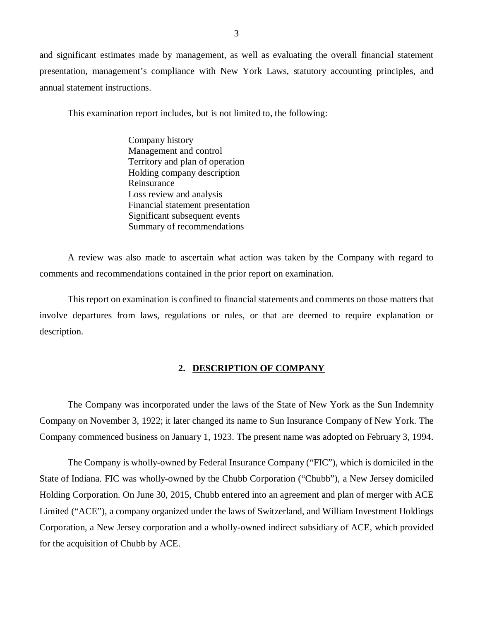and significant estimates made by management, as well as evaluating the overall financial statement presentation, management's compliance with New York Laws, statutory accounting principles, and annual statement instructions.

This examination report includes, but is not limited to, the following:

Company history Management and control Territory and plan of operation Holding company description Reinsurance Loss review and analysis Financial statement presentation Significant subsequent events Summary of recommendations

A review was also made to ascertain what action was taken by the Company with regard to comments and recommendations contained in the prior report on examination.

This report on examination is confined to financial statements and comments on those matters that involve departures from laws, regulations or rules, or that are deemed to require explanation or description.

#### **2. DESCRIPTION OF COMPANY**

The Company was incorporated under the laws of the State of New York as the Sun Indemnity Company on November 3, 1922; it later changed its name to Sun Insurance Company of New York. The Company commenced business on January 1, 1923. The present name was adopted on February 3, 1994.

The Company is wholly-owned by Federal Insurance Company ("FIC"), which is domiciled in the State of Indiana. FIC was wholly-owned by the Chubb Corporation ("Chubb"), a New Jersey domiciled Holding Corporation. On June 30, 2015, Chubb entered into an agreement and plan of merger with ACE Limited ("ACE"), a company organized under the laws of Switzerland, and William Investment Holdings Corporation, a New Jersey corporation and a wholly-owned indirect subsidiary of ACE, which provided for the acquisition of Chubb by ACE.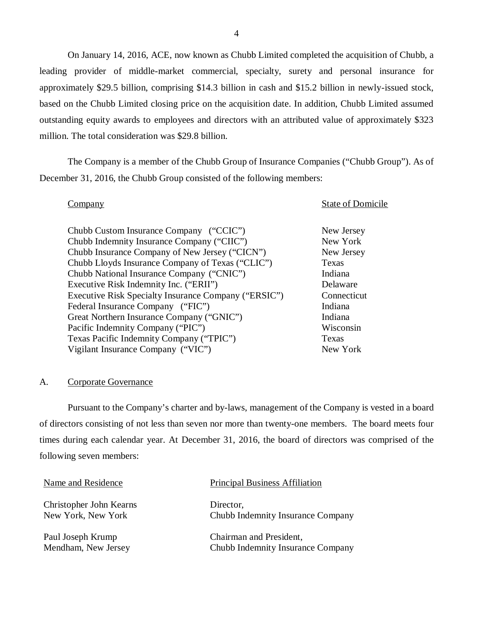<span id="page-5-0"></span>On January 14, 2016, ACE, now known as Chubb Limited completed the acquisition of Chubb, a leading provider of middle-market commercial, specialty, surety and personal insurance for approximately \$29.5 billion, comprising \$14.3 billion in cash and \$15.2 billion in newly-issued stock, based on the Chubb Limited closing price on the acquisition date. In addition, Chubb Limited assumed outstanding equity awards to employees and directors with an attributed value of approximately \$323 million. The total consideration was \$29.8 billion.

The Company is a member of the Chubb Group of Insurance Companies ("Chubb Group"). As of December 31, 2016, the Chubb Group consisted of the following members:

**Company** State of Domicile

| Chubb Custom Insurance Company ("CCIC")              | New Jersey  |
|------------------------------------------------------|-------------|
| Chubb Indemnity Insurance Company ("CIIC")           | New York    |
| Chubb Insurance Company of New Jersey ("CICN")       | New Jersey  |
| Chubb Lloyds Insurance Company of Texas ("CLIC")     | Texas       |
| Chubb National Insurance Company ("CNIC")            | Indiana     |
| Executive Risk Indemnity Inc. ("ERII")               | Delaware    |
| Executive Risk Specialty Insurance Company ("ERSIC") | Connecticut |
| Federal Insurance Company ("FIC")                    | Indiana     |
| Great Northern Insurance Company ("GNIC")            | Indiana     |
| Pacific Indemnity Company ("PIC")                    | Wisconsin   |
| Texas Pacific Indemnity Company ("TPIC")             | Texas       |
| Vigilant Insurance Company ("VIC")                   | New York    |

### A. Corporate Governance

Pursuant to the Company's charter and by-laws, management of the Company is vested in a board of directors consisting of not less than seven nor more than twenty-one members. The board meets four times during each calendar year. At December 31, 2016, the board of directors was comprised of the following seven members:

| Name and Residence      | <b>Principal Business Affiliation</b> |
|-------------------------|---------------------------------------|
| Christopher John Kearns | Director,                             |
| New York, New York      | Chubb Indemnity Insurance Company     |
| Paul Joseph Krump       | Chairman and President,               |
| Mendham, New Jersey     | Chubb Indemnity Insurance Company     |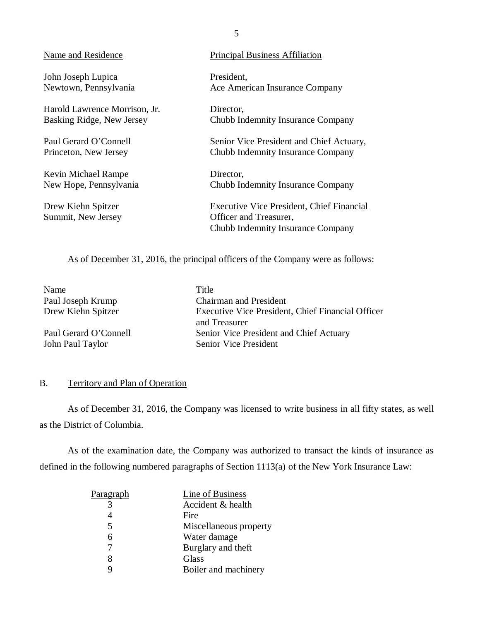John Joseph Lupica President,

Harold Lawrence Morrison, Jr. Director,

Kevin Michael Rampe Director,

### <span id="page-6-0"></span>Name and Residence Principal Business Affiliation

Newtown, Pennsylvania Ace American Insurance Company

Basking Ridge, New Jersey Chubb Indemnity Insurance Company

Paul Gerard O'Connell Senior Vice President and Chief Actuary, Princeton, New Jersey Chubb Indemnity Insurance Company

New Hope, Pennsylvania Chubb Indemnity Insurance Company

Drew Kiehn Spitzer Executive Vice President, Chief Financial Summit, New Jersey **Officer and Treasurer**, Chubb Indemnity Insurance Company

As of December 31, 2016, the principal officers of the Company were as follows:

Name Title

John Paul Taylor Senior Vice President

Paul Joseph Krump Chairman and President Drew Kiehn Spitzer Executive Vice President, Chief Financial Officer and Treasurer Paul Gerard O'Connell Senior Vice President and Chief Actuary

### B. Territory and Plan of Operation

As of December 31, 2016, the Company was licensed to write business in all fifty states, as well as the District of Columbia.

As of the examination date, the Company was authorized to transact the kinds of insurance as defined in the following numbered paragraphs of Section 1113(a) of the New York Insurance Law:

| <u>Paragraph</u> | Line of Business       |
|------------------|------------------------|
|                  | Accident & health      |
|                  | Fire                   |
| 5                | Miscellaneous property |
| 6                | Water damage           |
|                  | Burglary and theft     |
|                  | <b>Glass</b>           |
|                  | Boiler and machinery   |
|                  |                        |

5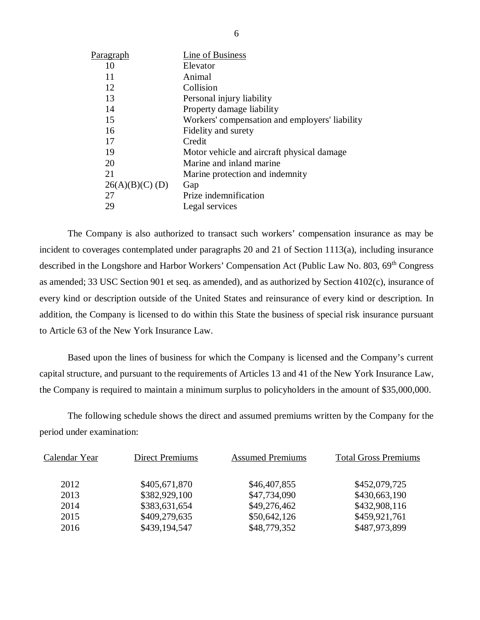| Paragraph      | Line of Business                               |
|----------------|------------------------------------------------|
| 10             | Elevator                                       |
| 11             | Animal                                         |
| 12             | Collision                                      |
| 13             | Personal injury liability                      |
| 14             | Property damage liability                      |
| 15             | Workers' compensation and employers' liability |
| 16             | Fidelity and surety                            |
| 17             | Credit                                         |
| 19             | Motor vehicle and aircraft physical damage.    |
| 20             | Marine and inland marine                       |
| 21             | Marine protection and indemnity                |
| 26(A)(B)(C)(D) | Gap                                            |
| 27             | Prize indemnification                          |
| 29             | Legal services                                 |

The Company is also authorized to transact such workers' compensation insurance as may be incident to coverages contemplated under paragraphs 20 and 21 of Section 1113(a), including insurance described in the Longshore and Harbor Workers' Compensation Act (Public Law No. 803, 69<sup>th</sup> Congress as amended; 33 USC Section 901 et seq. as amended), and as authorized by Section 4102(c), insurance of every kind or description outside of the United States and reinsurance of every kind or description. In addition, the Company is licensed to do within this State the business of special risk insurance pursuant to Article 63 of the New York Insurance Law.

Based upon the lines of business for which the Company is licensed and the Company's current capital structure, and pursuant to the requirements of Articles 13 and 41 of the New York Insurance Law, the Company is required to maintain a minimum surplus to policyholders in the amount of \$35,000,000.

The following schedule shows the direct and assumed premiums written by the Company for the period under examination:

| Calendar Year | <b>Direct Premiums</b> | <b>Assumed Premiums</b> | <b>Total Gross Premiums</b> |
|---------------|------------------------|-------------------------|-----------------------------|
| 2012          | \$405,671,870          | \$46,407,855            | \$452,079,725               |
| 2013          | \$382,929,100          | \$47,734,090            | \$430,663,190               |
| 2014          | \$383,631,654          | \$49,276,462            | \$432,908,116               |
| 2015          | \$409,279,635          | \$50,642,126            | \$459,921,761               |
| 2016          | \$439,194,547          | \$48,779,352            | \$487,973,899               |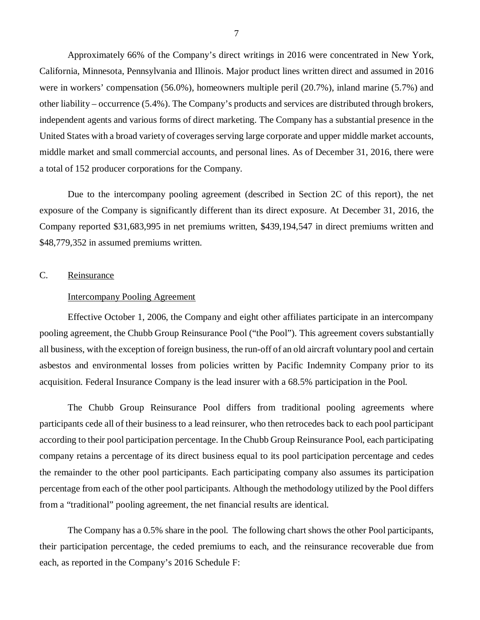<span id="page-8-0"></span>Approximately 66% of the Company's direct writings in 2016 were concentrated in New York, California, Minnesota, Pennsylvania and Illinois. Major product lines written direct and assumed in 2016 were in workers' compensation (56.0%), homeowners multiple peril (20.7%), inland marine (5.7%) and other liability – occurrence (5.4%). The Company's products and services are distributed through brokers, independent agents and various forms of direct marketing. The Company has a substantial presence in the United States with a broad variety of coverages serving large corporate and upper middle market accounts, middle market and small commercial accounts, and personal lines. As of December 31, 2016, there were a total of 152 producer corporations for the Company.

Due to the intercompany pooling agreement (described in Section 2C of this report), the net exposure of the Company is significantly different than its direct exposure. At December 31, 2016, the Company reported \$31,683,995 in net premiums written, \$439,194,547 in direct premiums written and \$48,779,352 in assumed premiums written.

### C. Reinsurance

### Intercompany Pooling Agreement

Effective October 1, 2006, the Company and eight other affiliates participate in an intercompany pooling agreement, the Chubb Group Reinsurance Pool ("the Pool"). This agreement covers substantially all business, with the exception of foreign business, the run-off of an old aircraft voluntary pool and certain asbestos and environmental losses from policies written by Pacific Indemnity Company prior to its acquisition. Federal Insurance Company is the lead insurer with a 68.5% participation in the Pool.

The Chubb Group Reinsurance Pool differs from traditional pooling agreements where participants cede all of their business to a lead reinsurer, who then retrocedes back to each pool participant according to their pool participation percentage. In the Chubb Group Reinsurance Pool, each participating company retains a percentage of its direct business equal to its pool participation percentage and cedes the remainder to the other pool participants. Each participating company also assumes its participation percentage from each of the other pool participants. Although the methodology utilized by the Pool differs from a "traditional" pooling agreement, the net financial results are identical.

The Company has a 0.5% share in the pool. The following chart shows the other Pool participants, their participation percentage, the ceded premiums to each, and the reinsurance recoverable due from each, as reported in the Company's 2016 Schedule F: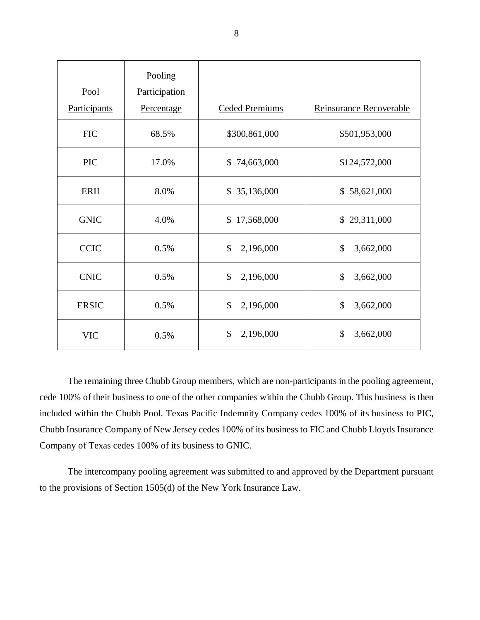| Pool         | Pooling<br>Participation |                            |                            |
|--------------|--------------------------|----------------------------|----------------------------|
| Participants | Percentage               | <b>Ceded Premiums</b>      | Reinsurance Recoverable    |
| <b>FIC</b>   | 68.5%                    | \$300,861,000              | \$501,953,000              |
| <b>PIC</b>   | 17.0%                    | \$74,663,000               | \$124,572,000              |
| ERII         | 8.0%                     | \$35,136,000               | \$58,621,000               |
| <b>GNIC</b>  | 4.0%                     | \$17,568,000               | \$29,311,000               |
| <b>CCIC</b>  | 0.5%                     | $\mathcal{S}$<br>2,196,000 | $\mathcal{S}$<br>3,662,000 |
| <b>CNIC</b>  | 0.5%                     | $\mathcal{S}$<br>2,196,000 | $\mathcal{S}$<br>3,662,000 |
| <b>ERSIC</b> | 0.5%                     | $\mathcal{S}$<br>2,196,000 | \$<br>3,662,000            |
| <b>VIC</b>   | 0.5%                     | \$<br>2,196,000            | $\mathcal{S}$<br>3,662,000 |

The remaining three Chubb Group members, which are non-participants in the pooling agreement, cede 100% of their business to one of the other companies within the Chubb Group. This business is then included within the Chubb Pool. Texas Pacific Indemnity Company cedes 100% of its business to PIC, Chubb Insurance Company of New Jersey cedes 100% of its business to FIC and Chubb Lloyds Insurance Company of Texas cedes 100% of its business to GNIC.

The intercompany pooling agreement was submitted to and approved by the Department pursuant to the provisions of Section 1505(d) of the New York Insurance Law.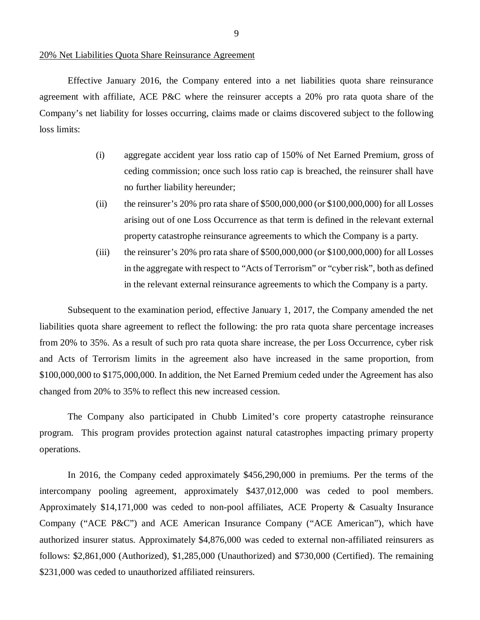#### 20% Net Liabilities Quota Share Reinsurance Agreement

Effective January 2016, the Company entered into a net liabilities quota share reinsurance agreement with affiliate, ACE P&C where the reinsurer accepts a 20% pro rata quota share of the Company's net liability for losses occurring, claims made or claims discovered subject to the following loss limits:

- (i) aggregate accident year loss ratio cap of 150% of Net Earned Premium, gross of ceding commission; once such loss ratio cap is breached, the reinsurer shall have no further liability hereunder;
- (ii) the reinsurer's 20% pro rata share of  $$500,000,000$  (or  $$100,000,000$ ) for all Losses arising out of one Loss Occurrence as that term is defined in the relevant external property catastrophe reinsurance agreements to which the Company is a party.
- (iii) the reinsurer's 20% pro rata share of  $$500,000,000$  (or  $$100,000,000$ ) for all Losses in the aggregate with respect to "Acts of Terrorism" or "cyber risk", both as defined in the relevant external reinsurance agreements to which the Company is a party.

Subsequent to the examination period, effective January 1, 2017, the Company amended the net liabilities quota share agreement to reflect the following: the pro rata quota share percentage increases from 20% to 35%. As a result of such pro rata quota share increase, the per Loss Occurrence, cyber risk and Acts of Terrorism limits in the agreement also have increased in the same proportion, from \$100,000,000 to \$175,000,000. In addition, the Net Earned Premium ceded under the Agreement has also changed from 20% to 35% to reflect this new increased cession.

The Company also participated in Chubb Limited's core property catastrophe reinsurance program. This program provides protection against natural catastrophes impacting primary property operations.

In 2016, the Company ceded approximately \$456,290,000 in premiums. Per the terms of the intercompany pooling agreement, approximately \$437,012,000 was ceded to pool members. Approximately \$14,171,000 was ceded to non-pool affiliates, ACE Property & Casualty Insurance Company ("ACE P&C") and ACE American Insurance Company ("ACE American"), which have authorized insurer status. Approximately \$4,876,000 was ceded to external non-affiliated reinsurers as follows: \$2,861,000 (Authorized), \$1,285,000 (Unauthorized) and \$730,000 (Certified). The remaining \$231,000 was ceded to unauthorized affiliated reinsurers.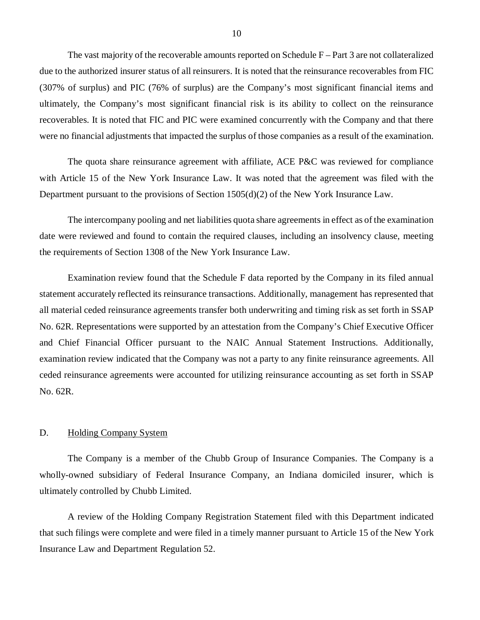<span id="page-11-0"></span>The vast majority of the recoverable amounts reported on Schedule F – Part 3 are not collateralized due to the authorized insurer status of all reinsurers. It is noted that the reinsurance recoverables from FIC (307% of surplus) and PIC (76% of surplus) are the Company's most significant financial items and ultimately, the Company's most significant financial risk is its ability to collect on the reinsurance recoverables. It is noted that FIC and PIC were examined concurrently with the Company and that there were no financial adjustments that impacted the surplus of those companies as a result of the examination.

The quota share reinsurance agreement with affiliate, ACE P&C was reviewed for compliance with Article 15 of the New York Insurance Law. It was noted that the agreement was filed with the Department pursuant to the provisions of Section 1505(d)(2) of the New York Insurance Law.

The intercompany pooling and net liabilities quota share agreements in effect as of the examination date were reviewed and found to contain the required clauses, including an insolvency clause, meeting the requirements of Section 1308 of the New York Insurance Law.

Examination review found that the Schedule F data reported by the Company in its filed annual statement accurately reflected its reinsurance transactions. Additionally, management has represented that all material ceded reinsurance agreements transfer both underwriting and timing risk as set forth in SSAP No. 62R. Representations were supported by an attestation from the Company's Chief Executive Officer and Chief Financial Officer pursuant to the NAIC Annual Statement Instructions. Additionally, examination review indicated that the Company was not a party to any finite reinsurance agreements. All ceded reinsurance agreements were accounted for utilizing reinsurance accounting as set forth in SSAP No. 62R.

### D. Holding Company System

The Company is a member of the Chubb Group of Insurance Companies. The Company is a wholly-owned subsidiary of Federal Insurance Company, an Indiana domiciled insurer, which is ultimately controlled by Chubb Limited.

A review of the Holding Company Registration Statement filed with this Department indicated that such filings were complete and were filed in a timely manner pursuant to Article 15 of the New York Insurance Law and Department Regulation 52.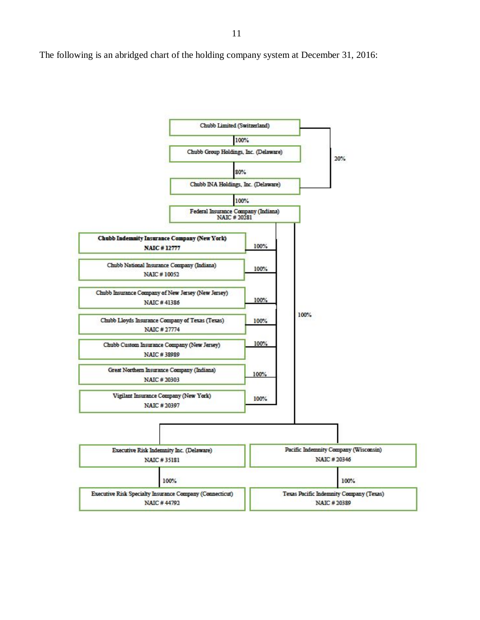The following is an abridged chart of the holding company system at December 31, 2016:

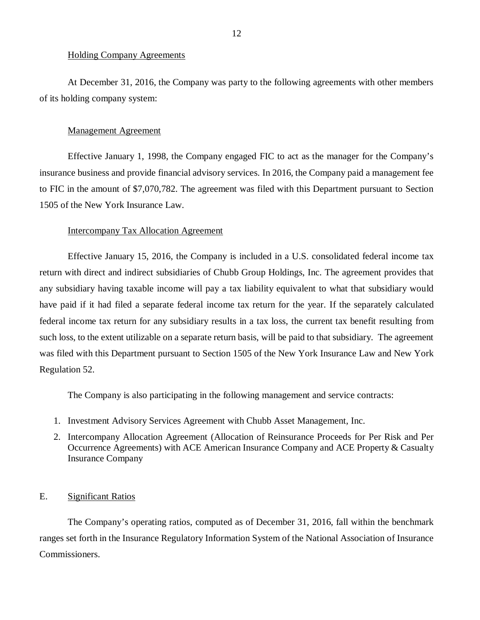#### <span id="page-13-0"></span>Holding Company Agreements

At December 31, 2016, the Company was party to the following agreements with other members of its holding company system:

### Management Agreement

Effective January 1, 1998, the Company engaged FIC to act as the manager for the Company's insurance business and provide financial advisory services. In 2016, the Company paid a management fee to FIC in the amount of \$7,070,782. The agreement was filed with this Department pursuant to Section 1505 of the New York Insurance Law.

#### Intercompany Tax Allocation Agreement

Effective January 15, 2016, the Company is included in a U.S. consolidated federal income tax return with direct and indirect subsidiaries of Chubb Group Holdings, Inc. The agreement provides that any subsidiary having taxable income will pay a tax liability equivalent to what that subsidiary would have paid if it had filed a separate federal income tax return for the year. If the separately calculated federal income tax return for any subsidiary results in a tax loss, the current tax benefit resulting from such loss, to the extent utilizable on a separate return basis, will be paid to that subsidiary. The agreement was filed with this Department pursuant to Section 1505 of the New York Insurance Law and New York Regulation 52.

The Company is also participating in the following management and service contracts:

- 1. Investment Advisory Services Agreement with Chubb Asset Management, Inc.
- 2. Intercompany Allocation Agreement (Allocation of Reinsurance Proceeds for Per Risk and Per Occurrence Agreements) with ACE American Insurance Company and ACE Property & Casualty Insurance Company

### E. Significant Ratios

The Company's operating ratios, computed as of December 31, 2016, fall within the benchmark ranges set forth in the Insurance Regulatory Information System of the National Association of Insurance Commissioners.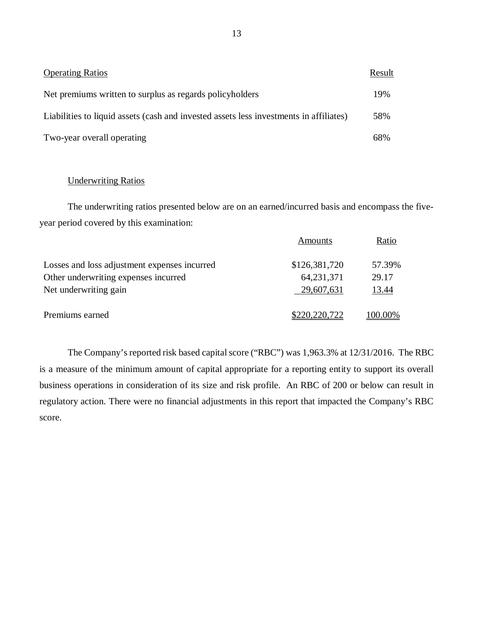| <b>Operating Ratios</b>                                                                | <b>Result</b> |
|----------------------------------------------------------------------------------------|---------------|
| Net premiums written to surplus as regards policyholders                               | 19%           |
| Liabilities to liquid assets (cash and invested assets less investments in affiliates) | 58%           |
| Two-year overall operating                                                             | 68%           |

### Underwriting Ratios

The underwriting ratios presented below are on an earned/incurred basis and encompass the fiveyear period covered by this examination:

|                                              | Amounts       | Ratio   |
|----------------------------------------------|---------------|---------|
| Losses and loss adjustment expenses incurred | \$126,381,720 | 57.39%  |
| Other underwriting expenses incurred         | 64, 231, 371  | 29.17   |
| Net underwriting gain                        | 29,607,631    | 13.44   |
| Premiums earned                              | \$220,220,722 | 100.00% |

The Company's reported risk based capital score ("RBC") was 1,963.3% at 12/31/2016. The RBC is a measure of the minimum amount of capital appropriate for a reporting entity to support its overall business operations in consideration of its size and risk profile. An RBC of 200 or below can result in regulatory action. There were no financial adjustments in this report that impacted the Company's RBC score.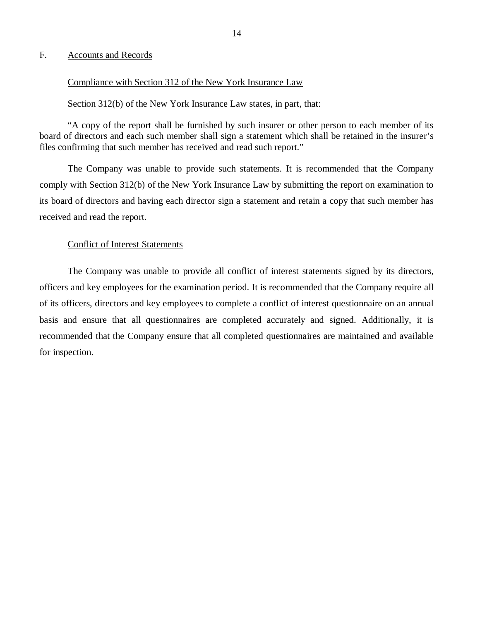### <span id="page-15-0"></span>F. Accounts and Records

### Compliance with Section 312 of the New York Insurance Law

#### Section 312(b) of the New York Insurance Law states, in part, that:

"A copy of the report shall be furnished by such insurer or other person to each member of its board of directors and each such member shall sign a statement which shall be retained in the insurer's files confirming that such member has received and read such report."

The Company was unable to provide such statements. It is recommended that the Company comply with Section 312(b) of the New York Insurance Law by submitting the report on examination to its board of directors and having each director sign a statement and retain a copy that such member has received and read the report.

### Conflict of Interest Statements

The Company was unable to provide all conflict of interest statements signed by its directors, officers and key employees for the examination period. It is recommended that the Company require all of its officers, directors and key employees to complete a conflict of interest questionnaire on an annual basis and ensure that all questionnaires are completed accurately and signed. Additionally, it is recommended that the Company ensure that all completed questionnaires are maintained and available for inspection.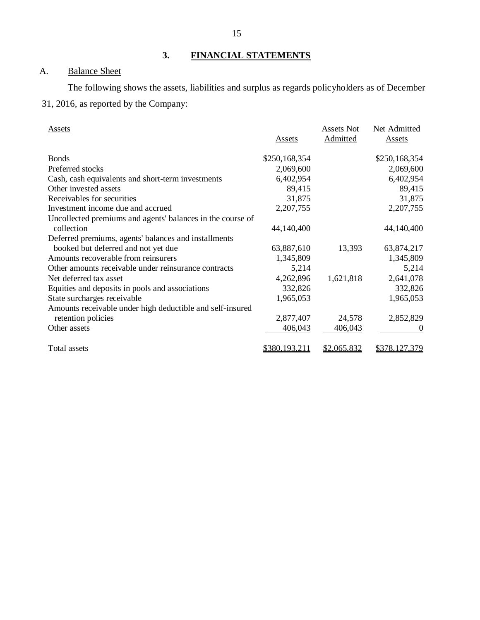### **3. FINANCIAL STATEMENTS**

### A. Balance Sheet

The following shows the assets, liabilities and surplus as regards policyholders as of December

### 31, 2016, as reported by the Company:

| <b>Assets</b>                                              |               | <b>Assets Not</b> | Net Admitted  |
|------------------------------------------------------------|---------------|-------------------|---------------|
|                                                            | Assets        | Admitted          | <b>Assets</b> |
| <b>Bonds</b>                                               | \$250,168,354 |                   | \$250,168,354 |
| Preferred stocks                                           | 2,069,600     |                   | 2,069,600     |
| Cash, cash equivalents and short-term investments          | 6,402,954     |                   | 6,402,954     |
| Other invested assets                                      | 89,415        |                   | 89,415        |
| Receivables for securities                                 | 31,875        |                   | 31,875        |
| Investment income due and accrued                          | 2,207,755     |                   | 2,207,755     |
| Uncollected premiums and agents' balances in the course of |               |                   |               |
| collection                                                 | 44,140,400    |                   | 44,140,400    |
| Deferred premiums, agents' balances and installments       |               |                   |               |
| booked but deferred and not yet due                        | 63,887,610    | 13,393            | 63,874,217    |
| Amounts recoverable from reinsurers                        | 1,345,809     |                   | 1,345,809     |
| Other amounts receivable under reinsurance contracts       | 5,214         |                   | 5,214         |
| Net deferred tax asset                                     | 4,262,896     | 1,621,818         | 2,641,078     |
| Equities and deposits in pools and associations            | 332,826       |                   | 332,826       |
| State surcharges receivable                                | 1,965,053     |                   | 1,965,053     |
| Amounts receivable under high deductible and self-insured  |               |                   |               |
| retention policies                                         | 2,877,407     | 24,578            | 2,852,829     |
| Other assets                                               | 406,043       | 406,043           |               |
| Total assets                                               | \$380,193,211 | \$2,065,832       | \$378,127,379 |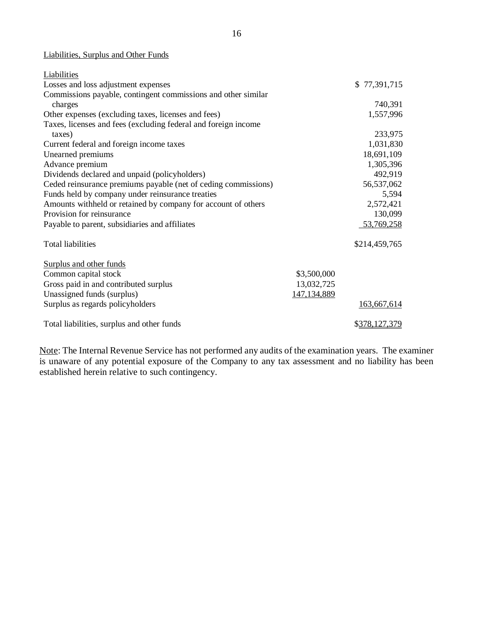### Liabilities, Surplus and Other Funds

| Liabilities                                                    |               |               |
|----------------------------------------------------------------|---------------|---------------|
| Losses and loss adjustment expenses                            |               | \$77,391,715  |
| Commissions payable, contingent commissions and other similar  |               |               |
| charges                                                        |               | 740,391       |
| Other expenses (excluding taxes, licenses and fees)            |               | 1,557,996     |
| Taxes, licenses and fees (excluding federal and foreign income |               |               |
| taxes)                                                         |               | 233,975       |
| Current federal and foreign income taxes                       |               | 1,031,830     |
| Unearned premiums                                              |               | 18,691,109    |
| Advance premium                                                |               | 1,305,396     |
| Dividends declared and unpaid (policyholders)                  |               | 492,919       |
| Ceded reinsurance premiums payable (net of ceding commissions) |               | 56,537,062    |
| Funds held by company under reinsurance treaties               |               | 5,594         |
| Amounts withheld or retained by company for account of others  |               | 2,572,421     |
| Provision for reinsurance                                      |               | 130,099       |
| Payable to parent, subsidiaries and affiliates                 |               | 53,769,258    |
| <b>Total liabilities</b>                                       |               | \$214,459,765 |
| Surplus and other funds                                        |               |               |
| Common capital stock                                           | \$3,500,000   |               |
| Gross paid in and contributed surplus                          | 13,032,725    |               |
| Unassigned funds (surplus)                                     | 147, 134, 889 |               |
| Surplus as regards policyholders                               |               | 163,667,614   |
| Total liabilities, surplus and other funds                     |               | \$378,127,379 |

Note: The Internal Revenue Service has not performed any audits of the examination years. The examiner is unaware of any potential exposure of the Company to any tax assessment and no liability has been established herein relative to such contingency.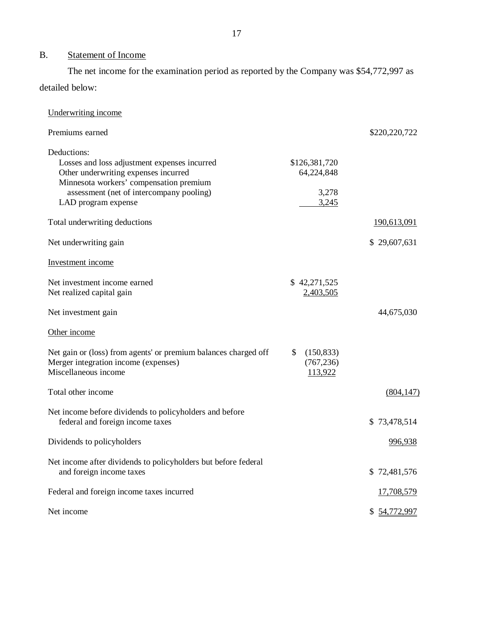### B. Statement of Income

The net income for the examination period as reported by the Company was \$54,772,997 as detailed below:

| Underwriting income                                                                                                                                                                                               |                                               |                    |
|-------------------------------------------------------------------------------------------------------------------------------------------------------------------------------------------------------------------|-----------------------------------------------|--------------------|
| Premiums earned                                                                                                                                                                                                   |                                               | \$220,220,722      |
| Deductions:<br>Losses and loss adjustment expenses incurred<br>Other underwriting expenses incurred<br>Minnesota workers' compensation premium<br>assessment (net of intercompany pooling)<br>LAD program expense | \$126,381,720<br>64,224,848<br>3,278<br>3,245 |                    |
| Total underwriting deductions                                                                                                                                                                                     |                                               | <u>190,613,091</u> |
| Net underwriting gain                                                                                                                                                                                             |                                               | \$29,607,631       |
| Investment income                                                                                                                                                                                                 |                                               |                    |
| Net investment income earned<br>Net realized capital gain                                                                                                                                                         | \$42,271,525<br>2,403,505                     |                    |
| Net investment gain                                                                                                                                                                                               |                                               | 44,675,030         |
| Other income                                                                                                                                                                                                      |                                               |                    |
| Net gain or (loss) from agents' or premium balances charged off<br>Merger integration income (expenses)<br>Miscellaneous income                                                                                   | \$<br>(150, 833)<br>(767, 236)<br>113,922     |                    |
| Total other income                                                                                                                                                                                                |                                               | (804, 147)         |
| Net income before dividends to policyholders and before<br>federal and foreign income taxes                                                                                                                       |                                               | \$73,478,514       |
| Dividends to policyholders                                                                                                                                                                                        |                                               | 996,938            |
| Net income after dividends to policyholders but before federal<br>and foreign income taxes                                                                                                                        |                                               | \$72,481,576       |
| Federal and foreign income taxes incurred                                                                                                                                                                         |                                               | 17,708,579         |
| Net income                                                                                                                                                                                                        |                                               | \$54,772,997       |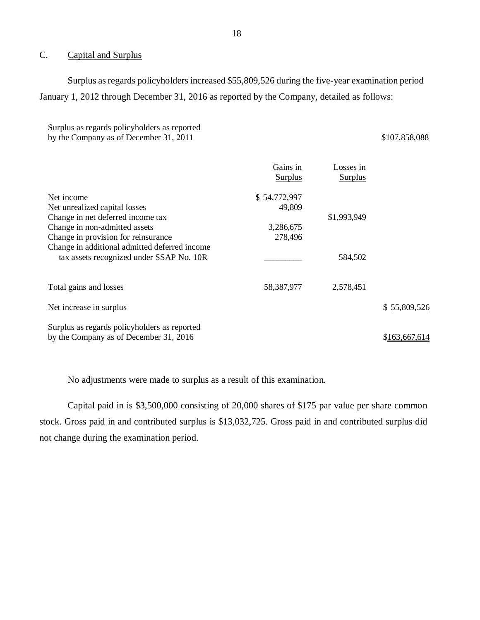### C. Capital and Surplus

Surplus as regards policyholders increased \$55,809,526 during the five-year examination period January 1, 2012 through December 31, 2016 as reported by the Company, detailed as follows:

Surplus as regards policyholders as reported by the Company as of December 31, 2011 \$107,858,088

|                                                                                           | Gains in<br><b>Surplus</b> | Losses in<br><b>Surplus</b> |               |
|-------------------------------------------------------------------------------------------|----------------------------|-----------------------------|---------------|
| Net income                                                                                | \$54,772,997<br>49,809     |                             |               |
| Net unrealized capital losses<br>Change in net deferred income tax                        |                            | \$1,993,949                 |               |
| Change in non-admitted assets                                                             | 3,286,675                  |                             |               |
| Change in provision for reinsurance                                                       | 278,496                    |                             |               |
| Change in additional admitted deferred income<br>tax assets recognized under SSAP No. 10R |                            | 584,502                     |               |
| Total gains and losses                                                                    | 58,387,977                 | 2,578,451                   |               |
| Net increase in surplus                                                                   |                            |                             | \$55,809,526  |
| Surplus as regards policyholders as reported<br>by the Company as of December 31, 2016    |                            |                             | \$163,667,614 |

No adjustments were made to surplus as a result of this examination.

Capital paid in is \$3,500,000 consisting of 20,000 shares of \$175 par value per share common stock. Gross paid in and contributed surplus is \$13,032,725. Gross paid in and contributed surplus did not change during the examination period.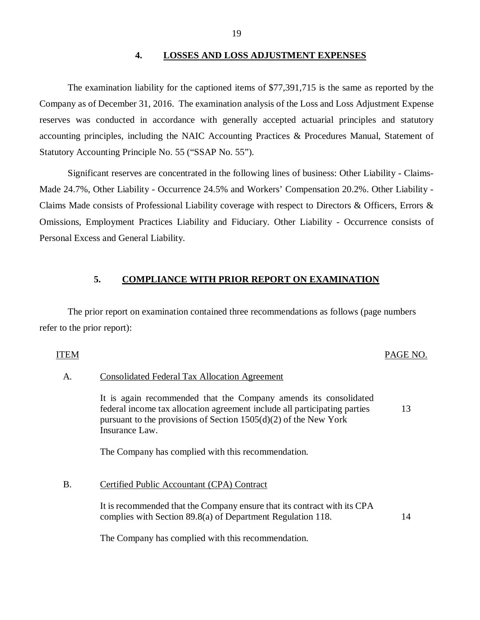### **4. LOSSES AND LOSS ADJUSTMENT EXPENSES**

The examination liability for the captioned items of \$77,391,715 is the same as reported by the Company as of December 31, 2016. The examination analysis of the Loss and Loss Adjustment Expense reserves was conducted in accordance with generally accepted actuarial principles and statutory accounting principles, including the NAIC Accounting Practices & Procedures Manual, Statement of Statutory Accounting Principle No. 55 ("SSAP No. 55").

Significant reserves are concentrated in the following lines of business: Other Liability - Claims-Made 24.7%, Other Liability - Occurrence 24.5% and Workers' Compensation 20.2%. Other Liability - Claims Made consists of Professional Liability coverage with respect to Directors & Officers, Errors & Omissions, Employment Practices Liability and Fiduciary. Other Liability - Occurrence consists of Personal Excess and General Liability.

### **5. COMPLIANCE WITH PRIOR REPORT ON EXAMINATION**

The prior report on examination contained three recommendations as follows (page numbers refer to the prior report):

### ITEM PAGE NO.

13

### A. Consolidated Federal Tax Allocation Agreement

It is again recommended that the Company amends its consolidated federal income tax allocation agreement include all participating parties pursuant to the provisions of Section 1505(d)(2) of the New York Insurance Law.

The Company has complied with this recommendation.

### B. Certified Public Accountant (CPA) Contract

It is recommended that the Company ensure that its contract with its CPA complies with Section 89.8(a) of Department Regulation 118. 14

The Company has complied with this recommendation.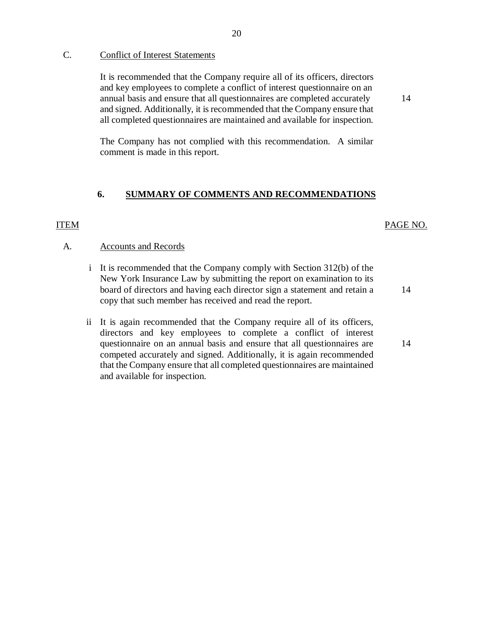### C. Conflict of Interest Statements

It is recommended that the Company require all of its officers, directors and key employees to complete a conflict of interest questionnaire on an annual basis and ensure that all questionnaires are completed accurately and signed. Additionally, it is recommended that the Company ensure that all completed questionnaires are maintained and available for inspection.

The Company has not complied with this recommendation. A similar comment is made in this report.

### **6. SUMMARY OF COMMENTS AND RECOMMENDATIONS**

### ITEM

### PAGE NO.

14

14

#### A. Accounts and Records

- i It is recommended that the Company comply with Section 312(b) of the New York Insurance Law by submitting the report on examination to its board of directors and having each director sign a statement and retain a copy that such member has received and read the report.
- ii It is again recommended that the Company require all of its officers, directors and key employees to complete a conflict of interest questionnaire on an annual basis and ensure that all questionnaires are competed accurately and signed. Additionally, it is again recommended that the Company ensure that all completed questionnaires are maintained and available for inspection.

#### 20

14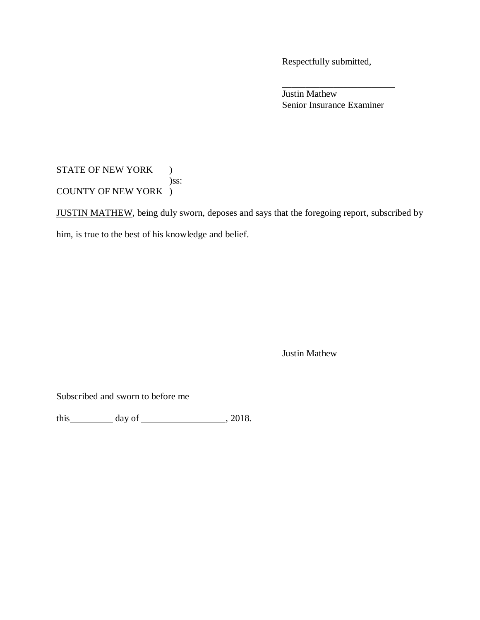Respectfully submitted,

Justin Mathew Senior Insurance Examiner

\_\_\_\_\_\_\_\_\_\_\_\_\_\_\_\_\_\_\_\_\_\_\_\_

### STATE OF NEW YORK ) )ss: COUNTY OF NEW YORK )

JUSTIN MATHEW, being duly sworn, deposes and says that the foregoing report, subscribed by him, is true to the best of his knowledge and belief.

Justin Mathew

Subscribed and sworn to before me

this  $\_\_\_\_\_\$  day of  $\_\_\_\_\_\_\_\_\_\_\$ , 2018.